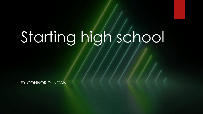# Starting high school

BY CONNOR DUNCAN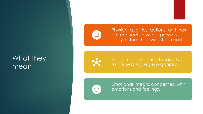#### What they mean



Physical qualities, actions, or things are connected with a person's body, rather than with their mind.



Social means relating to society or to the way society is organized.



Emotional means concerned with emotions and feelings.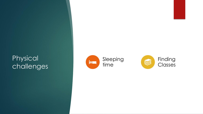#### Physical challenges



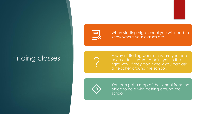#### Finding classes



When starting high school you will need to know where your classes are

A way of finding where they are you can ask a older student to point you in the right way. If they don't know you can ask a teacher around the school.



You can get a map of the school from the office to help with getting around the **school**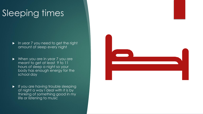# Sleeping times

- **In year 7 you need to get the right** amount of sleep every night
- When you are in year 7 you are meant to get at least 9 to 11 hours of sleep a night so your body has enough energy for the school day
- If you are having trouble sleeping at night a way I deal with it is by thinking of something good in my life or listening to music

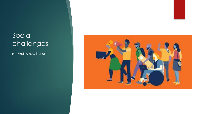### Social challenges

Finding new friends

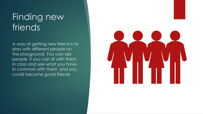## Finding new friends

A way of getting new friend is to play with different people on the playground. You can ask people if you can sit with them in class and see what you have in common with them and you could become good friends

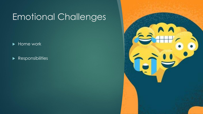# Emotional Challenges

▶ Home work

 $\blacktriangleright$  Responsibilities

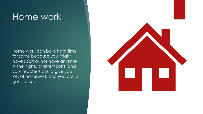## Home work

Home work can be a hard time for some because you might have sport or not have anytime in the nights or afternoons and your teachers could give you lots of homework and you could get stressed.

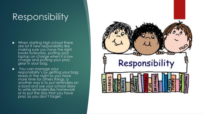## Responsibility

- When starting high school there are lot if new responsibility like making sure you have the right books everyday, putting your laptop on charge when it is low charge and putting your prac gear in your bag.
- You can manage your responsibility's by getting your bag ready in the night so you have more time for others things, a another way is to put reminders on a bord and use your school diary to write reminders like homework or to put the day that you have prac so you don't forget.